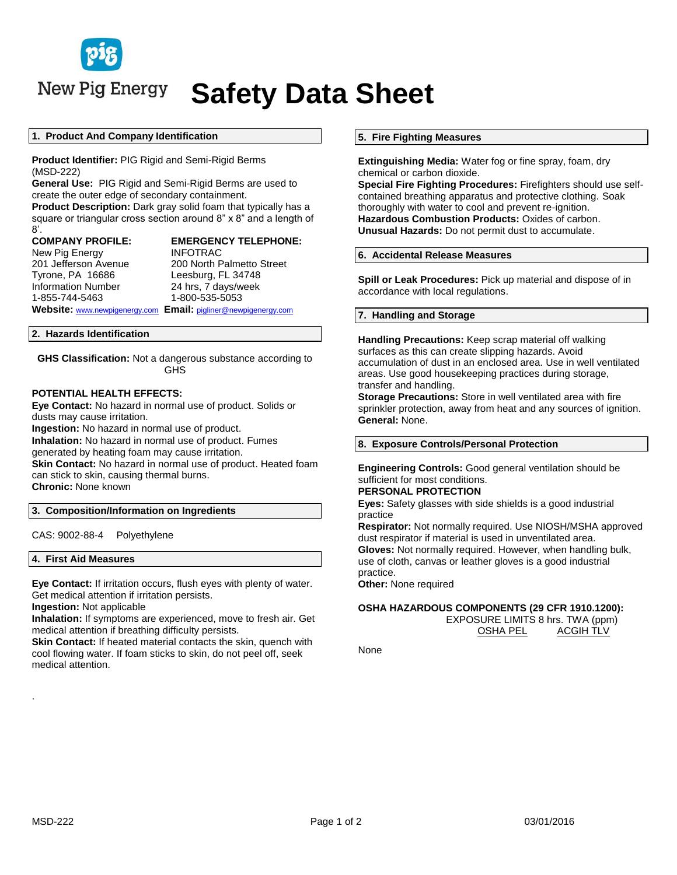

New Pig Energy

# **Safety Data Sheet**

#### **1. Product And Company Identification**

**Product Identifier:** PIG Rigid and Semi-Rigid Berms (MSD-222)

**General Use:** PIG Rigid and Semi-Rigid Berms are used to create the outer edge of secondary containment.

**Product Description:** Dark gray solid foam that typically has a square or triangular cross section around 8" x 8" and a length of 8'.

New Pig Energy **INFOTRAC** Tyrone, PA 16686 Leesburg, FL 34748 Information Number 24 hrs, 7 days/week 1-855-744-5463 1-800-535-5053

**COMPANY PROFILE: EMERGENCY TELEPHONE:** 201 Jefferson Avenue 200 North Palmetto Street

**Website:** [www.newpigenergy.com](http://www.newpigenergy.com/) **Email:** [pigliner@newpigenergy.com](mailto:pigliner@newpigenergy.com)

# **2. Hazards Identification**

**GHS Classification:** Not a dangerous substance according to GHS

# **POTENTIAL HEALTH EFFECTS:**

**Eye Contact:** No hazard in normal use of product. Solids or dusts may cause irritation.

**Ingestion:** No hazard in normal use of product.

**Inhalation:** No hazard in normal use of product. Fumes

generated by heating foam may cause irritation.

**Skin Contact:** No hazard in normal use of product. Heated foam can stick to skin, causing thermal burns.

**Chronic:** None known

# **3. Composition/Information on Ingredients**

CAS: 9002-88-4 Polyethylene

# **4. First Aid Measures**

**Eye Contact:** If irritation occurs, flush eyes with plenty of water. Get medical attention if irritation persists.

**Ingestion:** Not applicable

**Inhalation:** If symptoms are experienced, move to fresh air. Get medical attention if breathing difficulty persists.

**Skin Contact:** If heated material contacts the skin, quench with cool flowing water. If foam sticks to skin, do not peel off, seek medical attention.

# **5. Fire Fighting Measures**

**Extinguishing Media:** Water fog or fine spray, foam, dry chemical or carbon dioxide.

**Special Fire Fighting Procedures:** Firefighters should use selfcontained breathing apparatus and protective clothing. Soak thoroughly with water to cool and prevent re-ignition. **Hazardous Combustion Products:** Oxides of carbon. **Unusual Hazards:** Do not permit dust to accumulate.

#### **6. Accidental Release Measures**

**Spill or Leak Procedures:** Pick up material and dispose of in accordance with local regulations.

### **7. Handling and Storage**

**Handling Precautions:** Keep scrap material off walking surfaces as this can create slipping hazards. Avoid accumulation of dust in an enclosed area. Use in well ventilated areas. Use good housekeeping practices during storage, transfer and handling.

**Storage Precautions:** Store in well ventilated area with fire sprinkler protection, away from heat and any sources of ignition. **General:** None.

#### **8. Exposure Controls/Personal Protection**

**Engineering Controls:** Good general ventilation should be sufficient for most conditions.

#### **PERSONAL PROTECTION**

**Eyes:** Safety glasses with side shields is a good industrial practice

**Respirator:** Not normally required. Use NIOSH/MSHA approved dust respirator if material is used in unventilated area. **Gloves:** Not normally required. However, when handling bulk, use of cloth, canvas or leather gloves is a good industrial practice.

**Other:** None required

# **OSHA HAZARDOUS COMPONENTS (29 CFR 1910.1200):** EXPOSURE LIMITS 8 hrs. TWA (ppm)

OSHA PEL ACGIH TLV

None

.